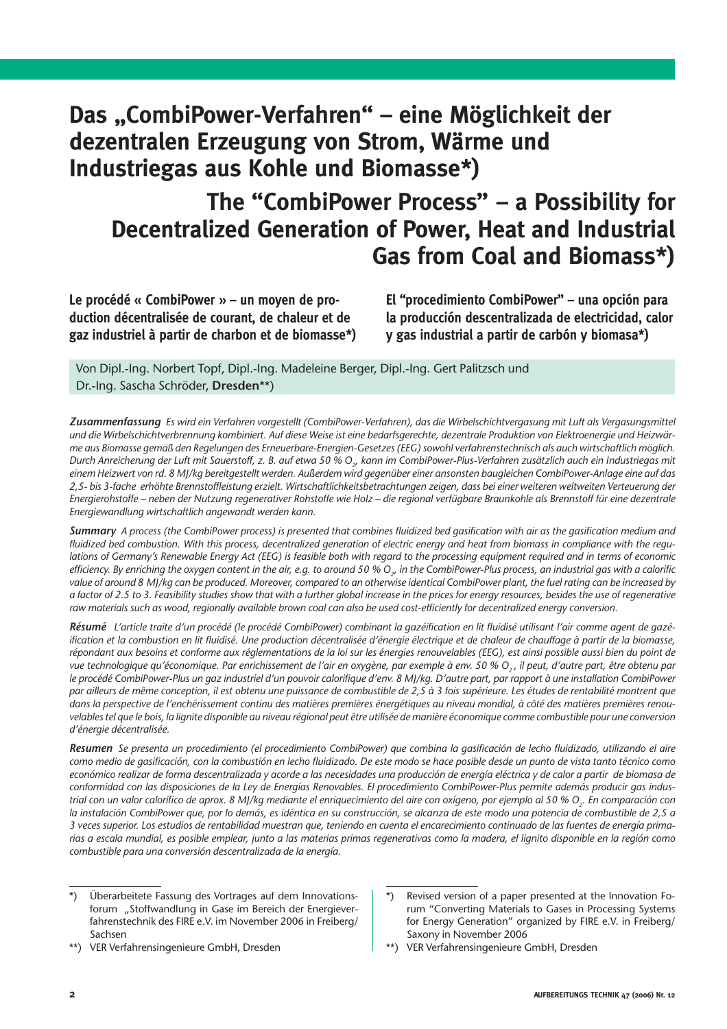# **Das "CombiPower-Verfahren" – eine Möglichkeit der dezentralen Erzeugung von Strom, Wärme und Industriegas aus Kohle und Biomasse\*)**

# **The "CombiPower Process" – a Possibility for Decentralized Generation of Power, Heat and Industrial Gas from Coal and Biomass\*)**

**Le procédé « CombiPower » – un moyen de production décentralisée de courant, de chaleur et de gaz industriel à partir de charbon et de biomasse\*)** **El "procedimiento CombiPower" – una opción para la producción descentralizada de electricidad, calor y gas industrial a partir de carbón y biomasa\*)**

Von Dipl.-Ing. Norbert Topf, Dipl.-Ing. Madeleine Berger, Dipl.-Ing. Gert Palitzsch und Dr.-Ing. Sascha Schröder, **Dresden**\*\*)

*Zusammenfassung Es wird ein Verfahren vorgestellt (CombiPower-Verfahren), das die Wirbelschichtvergasung mit Luft als Vergasungsmittel und die Wirbelschichtverbrennung kombiniert. Auf diese Weise ist eine bedarfsgerechte, dezentrale Produktion von Elektroenergie und Heizwärme aus Biomasse gemäß den Regelungen des Erneuerbare-Energien-Gesetzes (EEG) sowohl verfahrenstechnisch als auch wirtschaftlich möglich.*  Durch Anreicherung der Luft mit Sauerstoff, z. B. auf etwa 50 % O<sub>2</sub>, kann im CombiPower-Plus-Verfahren zusätzlich auch ein Industriegas mit *einem Heizwert von rd. 8 MJ/kg bereitgestellt werden. Außerdem wird gegenüber einer ansonsten baugleichen CombiPower-Anlage eine auf das 2,5- bis 3-fache erhöhte Brennstoffl eistung erzielt. Wirtschaftlichkeitsbetrachtungen zeigen, dass bei einer weiteren weltweiten Verteuerung der Energierohstoffe – neben der Nutzung regenerativer Rohstoffe wie Holz – die regional verfügbare Braunkohle als Brennstoff für eine dezentrale Energiewandlung wirtschaftlich angewandt werden kann.*

**Summary** *A process (the CombiPower process) is presented that combines fluidized bed gasification with air as the gasification medium and* fluidized bed combustion. With this process, decentralized generation of electric energy and heat from biomass in compliance with the regu*lations of Germany's Renewable Energy Act (EEG) is feasible both with regard to the processing equipment required and in terms of economic*  efficiency. By enriching the oxygen content in the air, e.g. to around 50 % O<sub>2</sub>, in the CombiPower-Plus process, an industrial gas with a calorific *value of around 8 MJ/kg can be produced. Moreover, compared to an otherwise identical CombiPower plant, the fuel rating can be increased by a factor of 2.5 to 3. Feasibility studies show that with a further global increase in the prices for energy resources, besides the use of regenerative*  raw materials such as wood, regionally available brown coal can also be used cost-efficiently for decentralized energy conversion.

Résumé L'article traite d'un procédé (le procédé CombiPower) combinant la gazéification en lit fluidisé utilisant l'air comme agent de gazé*ification et la combustion en lit fluidisé. Une production décentralisée d'énergie électrique et de chaleur de chauffage à partir de la biomasse, répondant aux besoins et conforme aux réglementations de la loi sur les énergies renouvelables (EEG), est ainsi possible aussi bien du point de vue technologique qu'économique. Par enrichissement de l'air en oxygène, par exemple à env. 50 % O2 , il peut, d'autre part, être obtenu par*  le procédé CombiPower-Plus un gaz industriel d'un pouvoir calorifique d'env. 8 MJ/kg. D'autre part, par rapport à une installation CombiPower *par ailleurs de même conception, il est obtenu une puissance de combustible de 2,5 à 3 fois supérieure. Les études de rentabilité montrent que dans la perspective de l'enchérissement continu des matières premières énergétiques au niveau mondial, à côté des matières premières renouvelables tel que le bois, la lignite disponible au niveau régional peut être utilisée de manière économique comme combustible pour une conversion d'énergie décentralisée.*

Resumen Se presenta un procedimiento (el procedimiento CombiPower) que combina la gasificación de lecho fluidizado, utilizando el aire *como medio de gasifi cación, con la combustión en lecho fl uidizado. De este modo se hace posible desde un punto de vista tanto técnico como económico realizar de forma descentralizada y acorde a las necesidades una producción de energía eléctrica y de calor a partir de biomasa de conformidad con las disposiciones de la Ley de Energías Renovables. El procedimiento CombiPower-Plus permite además producir gas indus*trial con un valor calorífico de aprox. 8 M//kg mediante el enriquecimiento del aire con oxígeno, por ejemplo al 50 % O<sub>2</sub>. En comparación con *la instalación CombiPower que, por lo demás, es idéntica en su construcción, se alcanza de este modo una potencia de combustible de 2,5 a 3 veces superior. Los estudios de rentabilidad muestran que, teniendo en cuenta el encarecimiento continuado de las fuentes de energía primarias a escala mundial, es posible emplear, junto a las materias primas regenerativas como la madera, el lignito disponible en la región como combustible para una conversión descentralizada de la energía.*

<sup>\*)</sup> Überarbeitete Fassung des Vortrages auf dem Innovationsforum "Stoffwandlung in Gase im Bereich der Energieverfahrenstechnik des FIRE e.V. im November 2006 in Freiberg/ Sachsen

<sup>\*\*)</sup> VER Verfahrensingenieure GmbH, Dresden

<sup>\*)</sup> Revised version of a paper presented at the Innovation Forum "Converting Materials to Gases in Processing Systems for Energy Generation" organized by FIRE e.V. in Freiberg/ Saxony in November 2006

<sup>\*\*)</sup> VER Verfahrensingenieure GmbH, Dresden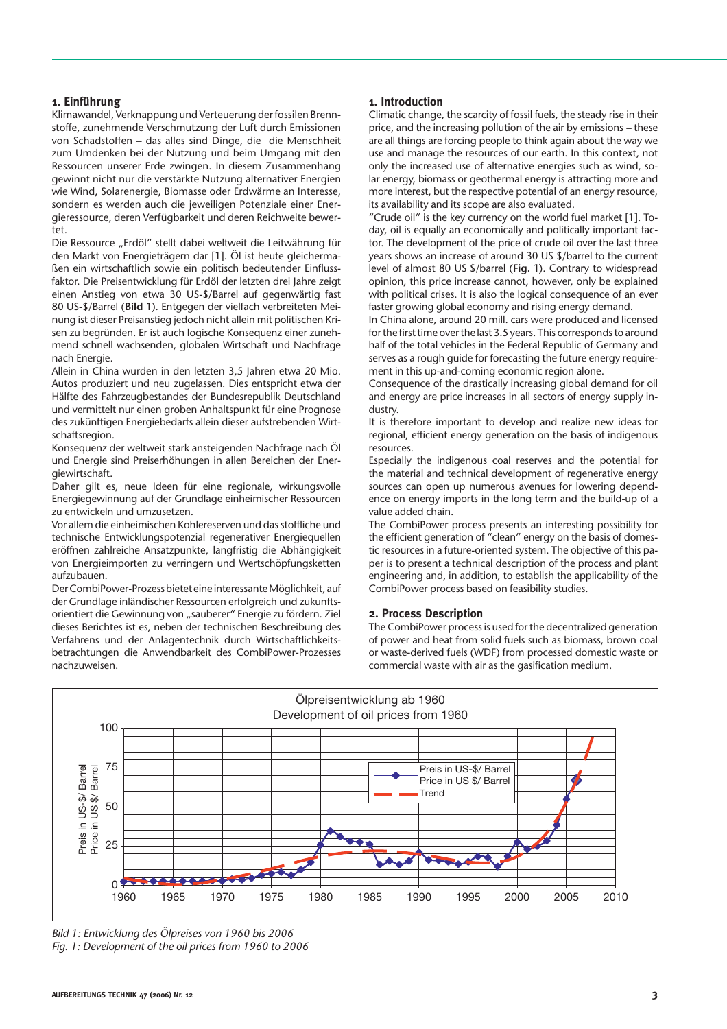## **1. Einführung**

Klimawandel, Verknappung und Verteuerung der fossilen Brennstoffe, zunehmende Verschmutzung der Luft durch Emissionen von Schadstoffen – das alles sind Dinge, die die Menschheit zum Umdenken bei der Nutzung und beim Umgang mit den Ressourcen unserer Erde zwingen. In diesem Zusammenhang gewinnt nicht nur die verstärkte Nutzung alternativer Energien wie Wind, Solarenergie, Biomasse oder Erdwärme an Interesse, sondern es werden auch die jeweiligen Potenziale einer Energieressource, deren Verfügbarkeit und deren Reichweite bewertet.

Die Ressource "Erdöl" stellt dabei weltweit die Leitwährung für den Markt von Energieträgern dar [1]. Öl ist heute gleichermaßen ein wirtschaftlich sowie ein politisch bedeutender Einflussfaktor. Die Preisentwicklung für Erdöl der letzten drei Jahre zeigt einen Anstieg von etwa 30 US-\$/Barrel auf gegenwärtig fast 80 US-\$/Barrel (**Bild 1**). Entgegen der vielfach verbreiteten Meinung ist dieser Preisanstieg jedoch nicht allein mit politischen Krisen zu begründen. Er ist auch logische Konseguenz einer zunehmend schnell wachsenden, globalen Wirtschaft und Nachfrage nach Energie.

Allein in China wurden in den letzten 3,5 Jahren etwa 20 Mio. Autos produziert und neu zugelassen. Dies entspricht etwa der Hälfte des Fahrzeugbestandes der Bundesrepublik Deutschland und vermittelt nur einen groben Anhaltspunkt für eine Prognose des zukünftigen Energiebedarfs allein dieser aufstrebenden Wirtschaftsregion.

Konsequenz der weltweit stark ansteigenden Nachfrage nach Öl und Energie sind Preiserhöhungen in allen Bereichen der Energiewirtschaft.

Daher gilt es, neue Ideen für eine regionale, wirkungsvolle Energiegewin nung auf der Grundlage einheimischer Ressourcen zu entwickeln und umzusetzen.

Vor allem die einheimischen Kohlereserven und das stoffliche und technische Entwicklungspotenzial regenerativer Energiequellen eröffnen zahlreiche Ansatzpunkte, langfristig die Abhängigkeit von Energieimporten zu verringern und Wertschöpfungsketten aufzubauen.

Der CombiPower-Prozess bietet eine interessante Möglichkeit, auf der Grundlage inländischer Ressourcen erfolgreich und zukunftsorientiert die Gewinnung von "sauberer" Energie zu fördern. Ziel dieses Berichtes ist es, neben der technischen Beschreibung des Verfahrens und der Anlagentechnik durch Wirtschaftlichkeitsbetrachtungen die Anwendbarkeit des CombiPower-Prozesses nachzuweisen.

## **1. Introduction**

Climatic change, the scarcity of fossil fuels, the steady rise in their price, and the increasing pollution of the air by emissions – these are all things are forcing people to think again about the way we use and manage the resources of our earth. In this context, not only the increased use of alternative energies such as wind, solar energy, biomass or geothermal energy is attracting more and more interest, but the respective potential of an energy resource, its availability and its scope are also evaluated.

"Crude oil" is the key currency on the world fuel market [1]. Today, oil is equally an economically and politically important factor. The development of the price of crude oil over the last three years shows an increase of around 30 US \$/barrel to the current level of almost 80 US \$/barrel (**Fig. 1**). Contrary to widespread opinion, this price increase cannot, however, only be explained with political crises. It is also the logical consequence of an ever faster growing global economy and rising energy demand.

In China alone, around 20 mill. cars were produced and licensed for the first time over the last 3.5 years. This corresponds to around half of the total vehicles in the Federal Republic of Germany and serves as a rough guide for forecasting the future energy requirement in this up-and-coming economic region alone.

Consequence of the drastically increasing global demand for oil and energy are price increases in all sectors of energy supply industry.

It is therefore important to develop and realize new ideas for regional, efficient energy generation on the basis of indigenous resources.

Especially the indigenous coal reserves and the potential for the material and technical development of regenerative energy sources can open up numerous avenues for lowering dependence on energy imports in the long term and the build-up of a value added chain.

The CombiPower process presents an interesting possibility for the efficient generation of "clean" energy on the basis of domestic resources in a future-oriented system. The objective of this paper is to present a technical description of the process and plant engineering and, in addition, to establish the applicability of the CombiPower process based on feasibility studies.

## **2. Process Description**

The CombiPower process is used for the decentralized generation of power and heat from solid fuels such as biomass, brown coal or waste-derived fuels (WDF) from processed domestic waste or commercial waste with air as the gasification medium.



*Bild 1: Entwicklung des Ölpreises von 1960 bis 2006 Fig. 1: Development of the oil prices from 1960 to 2006*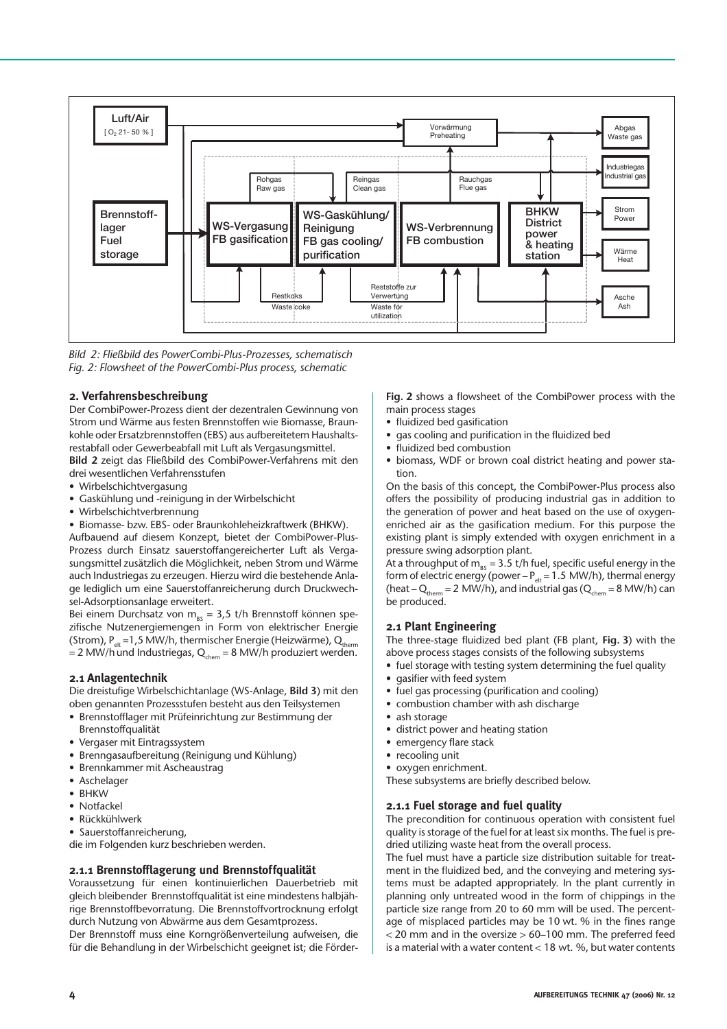

*Bild 2: Fließbild des PowerCombi-Plus-Prozesses, schematisch Fig. 2: Flowsheet of the PowerCombi-Plus process, schematic*

# **2. Verfahrensbeschreibung**

Der CombiPower-Prozess dient der dezentralen Gewinnung von Strom und Wärme aus festen Brennstoffen wie Biomasse, Braunkohle oder Ersatzbrennstoffen (EBS) aus aufbereitetem Haushaltsrestabfall oder Gewerbeabfall mit Luft als Vergasungsmittel.

**Bild 2** zeigt das Fließbild des CombiPower-Verfahrens mit den drei wesentlichen Verfahrensstufen

- Wirbelschichtvergasung
- Gaskühlung und -reinigung in der Wirbelschicht
- Wirbelschichtverbrennung

• Biomasse- bzw. EBS- oder Braunkohleheizkraftwerk (BHKW).

Aufbauend auf diesem Konzept, bietet der CombiPower-Plus-Prozess durch Einsatz sauerstoffangereicherter Luft als Vergasungsmittel zusätzlich die Möglichkeit, neben Strom und Wärme auch Industriegas zu erzeugen. Hierzu wird die bestehende Anlage lediglich um eine Sauerstoffanreicherung durch Druckwechsel-Adsorptionsanlage erweitert.

Bei einem Durchsatz von  $m_{BS} = 3.5$  t/h Brennstoff können spezifische Nutzenergiemengen in Form von elektrischer Energie (Strom),  $P_{\text{elt}} = 1.5 \text{ MW/h}$ , thermischer Energie (Heizwärme), Q<sub>therm</sub>  $= 2$  MW/h und Industriegas, Q<sub>chem</sub> = 8 MW/h produziert werden.

## **2.1 Anlagentechnik**

Die dreistufi ge Wirbelschichtanlage (WS-Anlage, **Bild 3**) mit den oben genannten Prozessstufen besteht aus den Teilsystemen

- Brennstofflager mit Prüfeinrichtung zur Bestimmung der Brennstoffqualität
- Vergaser mit Eintragssystem
- Brenngasaufbereitung (Reinigung und Kühlung)
- Brennkammer mit Ascheaustrag
- Aschelager
- BHKW
- Notfackel
- Rückkühlwerk

• Sauerstoffanreicherung, die im Folgenden kurz beschrieben werden.

## **2.1.1 Brennstofflagerung und Brennstoffqualität**

Voraussetzung für einen kontinuierlichen Dauerbetrieb mit gleich bleibender Brennstoffqualität ist eine mindestens halbjährige Brennstoffbevorratung. Die Brennstoffvortrocknung erfolgt durch Nutzung von Abwärme aus dem Gesamtprozess.

Der Brennstoff muss eine Korngrößenverteilung aufweisen, die für die Behandlung in der Wirbelschicht geeignet ist; die FörderFig. 2 shows a flowsheet of the CombiPower process with the main process stages

- fluidized bed gasification
- gas cooling and purification in the fluidized bed
- fluidized bed combustion
- biomass, WDF or brown coal district heating and power station.

On the basis of this concept, the CombiPower-Plus process also offers the possibility of producing industrial gas in addition to the generation of power and heat based on the use of oxygenenriched air as the gasification medium. For this purpose the existing plant is simply extended with oxygen enrichment in a pressure swing adsorption plant.

At a throughput of  $m_{BS} = 3.5$  t/h fuel, specific useful energy in the form of electric energy (power –  $P_{\text{eff}} = 1.5 \text{ MW/h}$ ), thermal energy (heat –  $Q_{therm}$  = 2 MW/h), and industrial gas ( $Q_{chem}$  = 8 MW/h) can be produced.

## **2.1 Plant Engineering**

The three-stage fluidized bed plant (FB plant, Fig. 3) with the above process stages consists of the following subsystems

- fuel storage with testing system determining the fuel quality
- qasifier with feed system
- $\bullet$  fuel gas processing (purification and cooling)
- combustion chamber with ash discharge
- ash storage
- district power and heating station
- emergency flare stack
- recooling unit
- oxygen enrichment.

These subsystems are briefly described below.

## **2.1.1 Fuel storage and fuel quality**

The precondition for continuous operation with consistent fuel quality is storage of the fuel for at least six months. The fuel is predried utilizing waste heat from the overall process.

The fuel must have a particle size distribution suitable for treatment in the fluidized bed, and the conveying and metering systems must be adapted appropriately. In the plant currently in planning only untreated wood in the form of chippings in the particle size range from 20 to 60 mm will be used. The percentage of misplaced particles may be 10 wt. % in the fines range < 20 mm and in the oversize > 60–100 mm. The preferred feed is a material with a water content < 18 wt. %, but water contents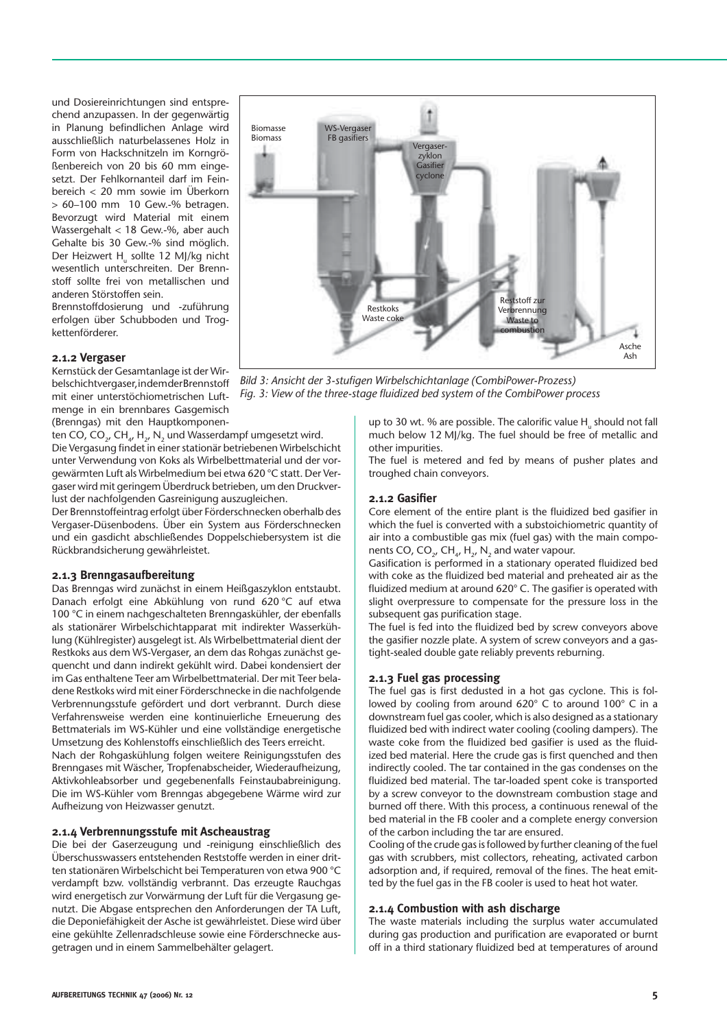und Dosiereinrichtungen sind entsprechend anzupassen. In der gegenwärtig in Planung befindlichen Anlage wird ausschließlich naturbelassenes Holz in Form von Hackschnitzeln im Korngrößenbereich von 20 bis 60 mm eingesetzt. Der Fehlkornanteil darf im Feinbereich < 20 mm sowie im Überkorn > 60–100 mm 10 Gew.-% betragen. Bevorzugt wird Material mit einem Wassergehalt < 18 Gew.-%, aber auch Gehalte bis 30 Gew.-% sind möglich. Der Heizwert H<sub>u</sub> sollte 12 MJ/kg nicht wesentlich unterschreiten. Der Brennstoff sollte frei von metallischen und anderen Störstoffen sein.

Brennstoffdosierung und -zuführung erfolgen über Schubboden und Trogkettenförderer.

#### **2.1.2 Vergaser**

Kernstück der Gesamtanlage ist der Wirbelschichtvergaser, in dem der Brennstoff mit einer unterstöchiometrischen Luftmenge in ein brennbares Gasgemisch (Brenngas) mit den Hauptkomponen-

ten CO, CO<sub>2</sub>, CH<sub>4</sub>, H<sub>2</sub>, N<sub>2</sub> und Wasserdampf umgesetzt wird. Die Vergasung findet in einer stationär betriebenen Wirbelschicht unter Verwendung von Koks als Wirbelbettmaterial und der vorgewärmten Luft als Wirbelmedium bei etwa 620 °C statt. Der Vergaser wird mit geringem Überdruck betrieben, um den Druckverlust der nachfolgenden Gasreinigung auszugleichen.

Der Brennstoffeintrag erfolgt über Förderschnecken oberhalb des Vergaser-Düsenbodens. Über ein System aus Förderschnecken und ein gasdicht abschließendes Doppelschiebersystem ist die Rückbrandsicherung gewährleistet.

#### **2.1.3 Brenngasaufbereitung**

Das Brenngas wird zunächst in einem Heißgaszyklon entstaubt. Danach erfolgt eine Abkühlung von rund 620 °C auf etwa 100 °C in einem nachgeschalteten Brenngaskühler, der ebenfalls als stationärer Wirbelschichtapparat mit indirekter Wasserkühlung (Kühlregister) ausgelegt ist. Als Wirbelbettmaterial dient der Restkoks aus dem WS-Vergaser, an dem das Rohgas zunächst gequencht und dann indirekt gekühlt wird. Dabei kondensiert der im Gas enthaltene Teer am Wirbelbettmaterial. Der mit Teer beladene Restkoks wird mit einer Förderschnecke in die nachfolgende Verbrennungsstufe gefördert und dort verbrannt. Durch diese Verfahrensweise werden eine kontinuierliche Erneuerung des Bettmaterials im WS-Kühler und eine vollständige energetische Umsetzung des Kohlenstoffs einschließlich des Teers erreicht.

Nach der Rohgaskühlung folgen weitere Reinigungsstufen des Brenngases mit Wäscher, Tropfenabscheider, Wiederaufheizung, Aktivkohleabsorber und gegebenenfalls Feinstaubabreinigung. Die im WS-Kühler vom Brenngas abgegebene Wärme wird zur Aufheizung von Heizwasser genutzt.

## **2.1.4 Verbrennungsstufe mit Ascheaustrag**

Die bei der Gaserzeugung und -reinigung einschließlich des Überschusswassers entstehenden Reststoffe werden in einer dritten stationären Wirbelschicht bei Temperaturen von etwa 900 °C verdampft bzw. vollständig verbrannt. Das erzeugte Rauchgas wird energetisch zur Vorwärmung der Luft für die Vergasung genutzt. Die Abgase entsprechen den Anforderungen der TA Luft, die Deponiefähigkeit der Asche ist gewährleistet. Diese wird über eine gekühlte Zellenradschleuse sowie eine Förderschnecke ausgetragen und in einem Sammelbehälter gelagert.



*Bild 3: Ansicht der 3-stufi gen Wirbelschichtanlage (CombiPower-Prozess)* Fig. 3: View of the three-stage fluidized bed system of the CombiPower process

up to 30 wt. % are possible. The calorific value  $\mathsf{H}_{_\mathrm{u}}$  should not fall much below 12 MJ/kg. The fuel should be free of metallic and other impurities.

The fuel is metered and fed by means of pusher plates and troughed chain conveyors.

#### **2.1.2 Gasifier**

Core element of the entire plant is the fluidized bed gasifier in which the fuel is converted with a substoichiometric quantity of air into a combustible gas mix (fuel gas) with the main components CO, CO<sub>2</sub>, CH<sub>4</sub>, H<sub>2</sub>, N<sub>2</sub> and water vapour.

Gasification is performed in a stationary operated fluidized bed with coke as the fluidized bed material and preheated air as the fluidized medium at around 620° C. The gasifier is operated with slight overpressure to compensate for the pressure loss in the subsequent gas purification stage.

The fuel is fed into the fluidized bed by screw conveyors above the gasifier nozzle plate. A system of screw conveyors and a gastight-sealed double gate reliably prevents reburning.

## **2.1.3 Fuel gas processing**

The fuel gas is first dedusted in a hot gas cyclone. This is followed by cooling from around 620° C to around 100° C in a downstream fuel gas cooler, which is also designed as a stationary fluidized bed with indirect water cooling (cooling dampers). The waste coke from the fluidized bed gasifier is used as the fluidized bed material. Here the crude gas is first quenched and then indirectly cooled. The tar contained in the gas condenses on the fluidized bed material. The tar-loaded spent coke is transported by a screw conveyor to the downstream combustion stage and burned off there. With this process, a continuous renewal of the bed material in the FB cooler and a complete energy conversion of the carbon including the tar are ensured.

Cooling of the crude gas is followed by further cleaning of the fuel gas with scrubbers, mist collectors, reheating, activated carbon adsorption and, if required, removal of the fines. The heat emitted by the fuel gas in the FB cooler is used to heat hot water.

#### **2.1.4 Combustion with ash discharge**

The waste materials including the surplus water accumulated during gas production and purification are evaporated or burnt off in a third stationary fluidized bed at temperatures of around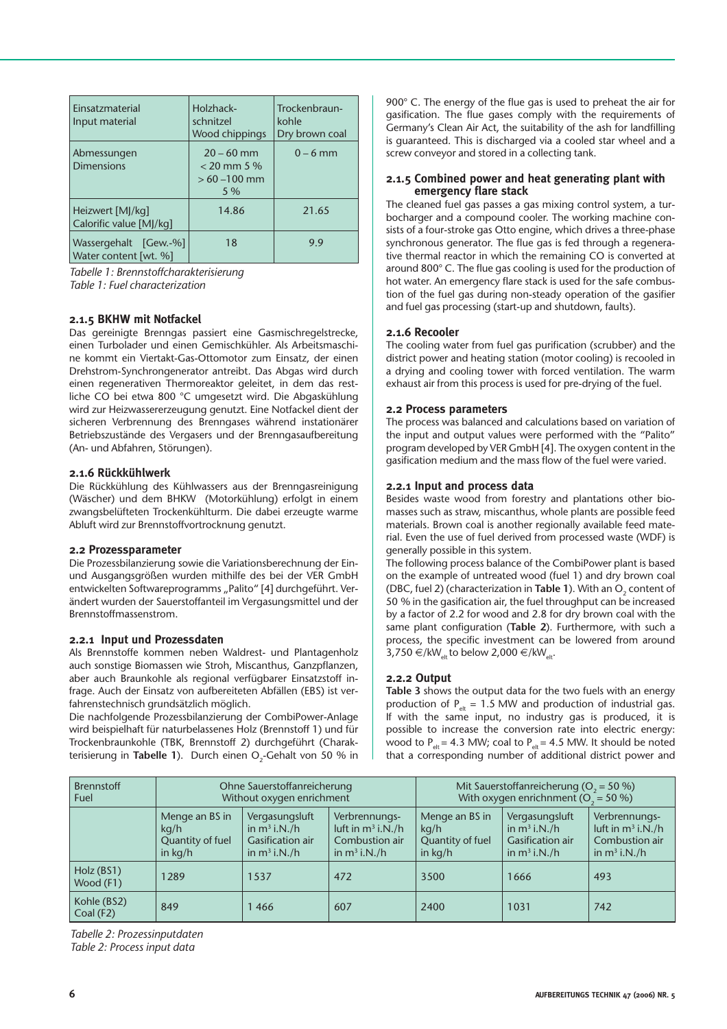| Einsatzmaterial<br>Input material              | Holzhack-<br>schnitzel<br>Wood chippings               | Trockenbraun-<br>kohle<br>Dry brown coal |
|------------------------------------------------|--------------------------------------------------------|------------------------------------------|
| Abmessungen<br><b>Dimensions</b>               | $20 - 60$ mm<br>$< 20$ mm 5 %<br>$>60 - 100$ mm<br>5 % | $0 - 6$ mm                               |
| Heizwert [M]/kq]<br>Calorific value [M]/kg]    | 14.86                                                  | 21.65                                    |
| Wassergehalt [Gew.-%]<br>Water content [wt. %] | 18                                                     | 9.9                                      |

*Tabelle 1: Brennstoffcharakterisierung Table 1: Fuel characterization*

## **2.1.5 BKHW mit Notfackel**

Das gereinigte Brenngas passiert eine Gasmischregelstrecke, einen Turbolader und einen Gemischkühler. Als Arbeitsmaschine kommt ein Viertakt-Gas-Ottomotor zum Einsatz, der einen Drehstrom-Synchrongenerator antreibt. Das Abgas wird durch einen regenerativen Thermoreaktor geleitet, in dem das restliche CO bei etwa 800 °C umgesetzt wird. Die Abgaskühlung wird zur Heizwassererzeugung genutzt. Eine Notfackel dient der sicheren Verbrennung des Brenngases während instationärer Be triebszustände des Vergasers und der Brenngasaufbereitung (An- und Abfahren, Störungen).

## **2.1.6 Rückkühlwerk**

Die Rückkühlung des Kühlwassers aus der Brenngasreinigung (Wäscher) und dem BHKW (Motorkühlung) erfolgt in einem zwangsbelüfteten Trockenkühlturm. Die dabei erzeugte warme Abluft wird zur Brennstoffvortrocknung genutzt.

## **2.2 Prozessparameter**

Die Prozessbilanzierung sowie die Variationsberechnung der Einund Ausgangsgrößen wurden mithilfe des bei der VER GmbH entwickelten Softwareprogramms "Palito" [4] durchgeführt. Verändert wurden der Sauerstoffanteil im Vergasungsmittel und der Brennstoffmassenstrom.

## **2.2.1 Input und Prozessdaten**

Als Brennstoffe kommen neben Waldrest- und Plantagenholz auch sonstige Biomassen wie Stroh, Miscanthus, Ganzpflanzen, aber auch Braunkohle als regional verfügbarer Einsatzstoff infrage. Auch der Einsatz von aufbereiteten Abfällen (EBS) ist verfahrenstechnisch grundsätzlich möglich.

Die nachfolgende Prozessbilanzierung der CombiPower-Anlage wird beispielhaft für naturbelassenes Holz (Brennstoff 1) und für Trockenbraunkohle (TBK, Brennstoff 2) durchgeführt (Charakterisierung in **Tabelle 1**). Durch einen O<sub>2</sub>-Gehalt von 50 % in 900 $^{\circ}$  C. The energy of the flue gas is used to preheat the air for gasification. The flue gases comply with the requirements of Germany's Clean Air Act, the suitability of the ash for landfilling is guaranteed. This is discharged via a cooled star wheel and a screw conveyor and stored in a collecting tank.

## **2.1.5 Combined power and heat generating plant with emergency flare stack**

The cleaned fuel gas passes a gas mixing control system, a turbocharger and a compound cooler. The working machine consists of a four-stroke gas Otto engine, which drives a three-phase synchronous generator. The flue gas is fed through a regenerative thermal reactor in which the remaining CO is converted at around 800° C. The flue gas cooling is used for the production of hot water. An emergency flare stack is used for the safe combustion of the fuel gas during non-steady operation of the gasifier and fuel gas processing (start-up and shutdown, faults).

## **2.1.6 Recooler**

The cooling water from fuel gas purification (scrubber) and the district power and heating station (motor cooling) is recooled in a drying and cooling tower with forced ventilation. The warm exhaust air from this process is used for pre-drying of the fuel.

## **2.2 Process parameters**

The process was balanced and calculations based on variation of the input and output values were performed with the "Palito" program developed by VER GmbH [4]. The oxygen content in the gasification medium and the mass flow of the fuel were varied.

## **2.2.1 Input and process data**

Besides waste wood from forestry and plantations other biomasses such as straw, miscanthus, whole plants are possible feed materials. Brown coal is another regionally available feed material. Even the use of fuel derived from processed waste (WDF) is generally possible in this system.

The following process balance of the CombiPower plant is based on the example of untreated wood (fuel 1) and dry brown coal (DBC, fuel 2) (characterization in **Table 1**). With an  $O_2$  content of 50 % in the gasification air, the fuel throughput can be increased by a factor of 2.2 for wood and 2.8 for dry brown coal with the same plant configuration (Table 2). Furthermore, with such a process, the specific investment can be lowered from around 3,750  $\in$ /kW<sub>elt</sub> to below 2,000  $\in$ /kW<sub>elt</sub>.

# **2.2.2 Output**

**Table 3** shows the output data for the two fuels with an energy production of  $P_{\text{alt}} = 1.5$  MW and production of industrial gas. If with the same input, no industry gas is produced, it is possible to increase the conversion rate into electric energy: wood to  $P_{\text{alt}} = 4.3$  MW; coal to  $P_{\text{alt}} = 4.5$  MW. It should be noted that a corresponding number of additional district power and

| <b>Brennstoff</b><br>Fuel |                                                         | Ohne Sauerstoffanreicherung<br>Without oxygen enrichment                        |                                                                            | Mit Sauerstoffanreicherung ( $O_2$ = 50 %)<br>With oxygen enrichnment ( $O_2$ = 50 %) |                                                                                 |                                                                            |
|---------------------------|---------------------------------------------------------|---------------------------------------------------------------------------------|----------------------------------------------------------------------------|---------------------------------------------------------------------------------------|---------------------------------------------------------------------------------|----------------------------------------------------------------------------|
|                           | Menge an BS in<br>kq/h<br>Quantity of fuel<br>in $kq/h$ | Vergasungsluft<br>in $m^3$ i.N./h<br><b>Gasification air</b><br>in $m^3$ i.N./h | Verbrennungs-<br>luft in $m^3$ i.N./h<br>Combustion air<br>in $m^3$ i.N./h | Menge an BS in<br>kq/h<br>Quantity of fuel<br>in $kg/h$                               | Vergasungsluft<br>in $m^3$ i.N./h<br><b>Gasification air</b><br>in $m^3$ i.N./h | Verbrennungs-<br>luft in $m^3$ i.N./h<br>Combustion air<br>in $m^3$ i.N./h |
| Holz (BS1)<br>Wood (F1)   | 1289                                                    | 1537                                                                            | 472                                                                        | 3500                                                                                  | 1666                                                                            | 493                                                                        |
| Kohle (BS2)<br>Coal (F2)  | 849                                                     | 466                                                                             | 607                                                                        | 2400                                                                                  | 1031                                                                            | 742                                                                        |

*Tabelle 2: Prozessinputdaten Table 2: Process input data*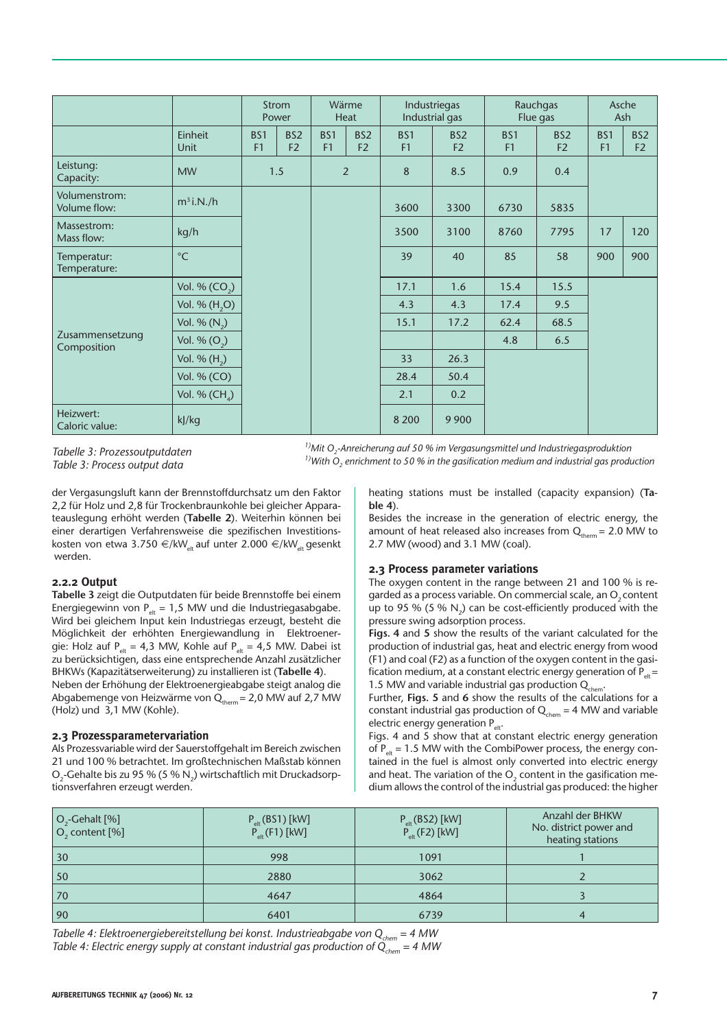|                                |                           | <b>Strom</b><br>Power |                                   | Wärme<br>Heat         |                       | Industriegas<br>Industrial gas |                                   | Rauchgas<br>Flue gas  |                                   | Asche<br>Ash          |                                   |      |      |    |     |  |  |  |  |  |    |    |    |    |     |     |
|--------------------------------|---------------------------|-----------------------|-----------------------------------|-----------------------|-----------------------|--------------------------------|-----------------------------------|-----------------------|-----------------------------------|-----------------------|-----------------------------------|------|------|----|-----|--|--|--|--|--|----|----|----|----|-----|-----|
|                                | Einheit<br><b>Unit</b>    | BS1<br>F1             | BS <sub>2</sub><br>F <sub>2</sub> | BS1<br>F <sub>1</sub> | BS <sub>2</sub><br>F2 | BS1<br>F <sub>1</sub>          | BS <sub>2</sub><br>F <sub>2</sub> | BS1<br>F <sub>1</sub> | BS <sub>2</sub><br>F <sub>2</sub> | BS1<br>F <sub>1</sub> | BS <sub>2</sub><br>F <sub>2</sub> |      |      |    |     |  |  |  |  |  |    |    |    |    |     |     |
| Leistung:<br>Capacity:         | <b>MW</b>                 | 1.5                   |                                   | 2                     |                       | 8                              | 8.5                               | 0.9                   | 0.4                               |                       |                                   |      |      |    |     |  |  |  |  |  |    |    |    |    |     |     |
| Volumenstrom:<br>Volume flow:  | $m^3$ i.N./h              |                       |                                   |                       |                       | 3600                           | 3300                              | 6730                  | 5835                              |                       |                                   |      |      |    |     |  |  |  |  |  |    |    |    |    |     |     |
| Massestrom:<br>Mass flow:      | kg/h                      |                       |                                   |                       |                       |                                |                                   |                       |                                   | 3500                  | 3100                              | 8760 | 7795 | 17 | 120 |  |  |  |  |  |    |    |    |    |     |     |
| Temperatur:<br>Temperature:    | $^{\circ}$ C              |                       |                                   |                       |                       |                                |                                   |                       |                                   |                       |                                   |      |      |    |     |  |  |  |  |  | 39 | 40 | 85 | 58 | 900 | 900 |
|                                | Vol. % $(CO2)$            |                       |                                   |                       |                       | 17.1                           | 1.6                               | 15.4                  | 15.5                              |                       |                                   |      |      |    |     |  |  |  |  |  |    |    |    |    |     |     |
|                                | Vol. % (H <sub>2</sub> O) |                       |                                   |                       |                       | 4.3                            | 4.3                               | 17.4                  | 9.5                               |                       |                                   |      |      |    |     |  |  |  |  |  |    |    |    |    |     |     |
|                                | Vol. $% (N_2)$            |                       |                                   |                       |                       | 15.1                           | 17.2                              | 62.4                  | 68.5                              |                       |                                   |      |      |    |     |  |  |  |  |  |    |    |    |    |     |     |
| Zusammensetzung<br>Composition | Vol. % $(O_2)$            |                       |                                   |                       |                       |                                |                                   | 4.8                   | 6.5                               |                       |                                   |      |      |    |     |  |  |  |  |  |    |    |    |    |     |     |
|                                | Vol. % $(H_2)$            |                       |                                   |                       |                       | 33                             | 26.3                              |                       |                                   |                       |                                   |      |      |    |     |  |  |  |  |  |    |    |    |    |     |     |
|                                | Vol. % (CO)               |                       |                                   |                       |                       | 28.4                           | 50.4                              |                       |                                   |                       |                                   |      |      |    |     |  |  |  |  |  |    |    |    |    |     |     |
|                                | Vol. % $(CH_4)$           |                       |                                   |                       |                       | 2.1                            | 0.2                               |                       |                                   |                       |                                   |      |      |    |     |  |  |  |  |  |    |    |    |    |     |     |
| Heizwert:<br>Caloric value:    | kJ/kg                     |                       |                                   |                       |                       | 8 2 0 0                        | 9 9 0 0                           |                       |                                   |                       |                                   |      |      |    |     |  |  |  |  |  |    |    |    |    |     |     |

*Tabelle 3: Prozessoutputdaten Table 3: Process output data*

<sup>1)</sup>Mit O<sub>2</sub>-Anreicherung auf 50 % im Vergasungsmittel und Industriegasproduktion <sup>1)</sup>With O<sub>2</sub> enrichment to 50 % in the gasification medium and industrial gas production

der Vergasungsluft kann der Brennstoffdurchsatz um den Faktor 2,2 für Holz und 2,8 für Trockenbraunkohle bei gleicher Apparateauslegung erhöht werden (**Tabelle 2**). Weiterhin können bei einer derartigen Verfahrensweise die spezifischen Investitionskosten von etwa 3.750  $\epsilon/kW_{\text{at}}$  auf unter 2.000  $\epsilon/kW_{\text{at}}$  gesenkt werden.

## **2.2.2 Output**

**Tabelle 3** zeigt die Outputdaten für beide Brennstoffe bei einem Energiegewinn von  $P_{\text{eff}} = 1.5$  MW und die Industriegasabgabe. Wird bei gleichem Input kein Industriegas erzeugt, besteht die Möglichkeit der erhöhten Energiewandlung in Elektroenergie: Holz auf  $P_{\text{elt}} = 4,3$  MW, Kohle auf  $P_{\text{elt}} = 4,5$  MW. Dabei ist zu berücksichtigen, dass eine entsprechende Anzahl zusätzlicher BHKWs (Kapazitätserweiterung) zu installieren ist (**Tabelle 4**).

Neben der Erhöhung der Elektroenergieabgabe steigt analog die Abgabemenge von Heizwärme von  $Q_{therm} = 2.0$  MW auf 2.7 MW (Holz) und 3,1 MW (Kohle).

## **2.3 Prozessparametervariation**

Als Prozessvariable wird der Sauerstoffgehalt im Bereich zwischen 21 und 100 % betrachtet. Im großtechnischen Maßstab können O<sub>2</sub>-Gehalte bis zu 95 % (5 % N<sub>2</sub>) wirtschaftlich mit Druckadsorptionsverfahren erzeugt werden.

heating stations must be installed (capacity expansion) (**Table 4**).

Besides the increase in the generation of electric energy, the amount of heat released also increases from  $Q_{therm} = 2.0$  MW to 2.7 MW (wood) and 3.1 MW (coal).

# **2.3 Process parameter variations**

The oxygen content in the range between 21 and 100 % is regarded as a process variable. On commercial scale, an O<sub>2</sub> content up to 95 % (5 %  $N_2$ ) can be cost-efficiently produced with the pressure swing adsorption process.

**Figs. 4** and **5** show the results of the variant calculated for the production of industrial gas, heat and electric energy from wood (F1) and coal (F2) as a function of the oxygen content in the gasification medium, at a constant electric energy generation of  $P_{\text{alt}} =$ 1.5 MW and variable industrial gas production  $Q_{chem}$ 

Further, **Figs. 5** and **6** show the results of the calculations for a constant industrial gas production of  $Q_{chem} = 4$  MW and variable electric energy generation  $P_{\text{elt}}$ .

Figs. 4 and 5 show that at constant electric energy generation of  $P_{\text{e}t} = 1.5$  MW with the CombiPower process, the energy contained in the fuel is almost only converted into electric energy and heat. The variation of the  $\mathrm{O}_2^{}$  content in the gasification medium allows the control of the industrial gas produced: the higher

| $O_2$ -Gehalt [%]<br>$\overline{O}$ , content [%] | $P_{\text{elt}}$ (BS1) [kW]<br>$P_{\text{alt}}(F1)$ [kW] | $P_{\text{elt}}$ (BS2) [kW]<br>$P_{\text{alt}}(F2)$ [kW] | Anzahl der BHKW<br>No. district power and<br>heating stations |
|---------------------------------------------------|----------------------------------------------------------|----------------------------------------------------------|---------------------------------------------------------------|
| 30                                                | 998                                                      | 1091                                                     |                                                               |
| 50                                                | 2880                                                     | 3062                                                     |                                                               |
| 70                                                | 4647                                                     | 4864                                                     |                                                               |
| $\mid$ 90                                         | 6401                                                     | 6739                                                     |                                                               |

*Tabelle 4: Elektroenergiebereitstellung bei konst. Industrieabgabe von Q<sub>chem</sub> = 4 MW Table 4: Electric energy supply at constant industrial gas production of*  $Q_{chem} = 4 MW$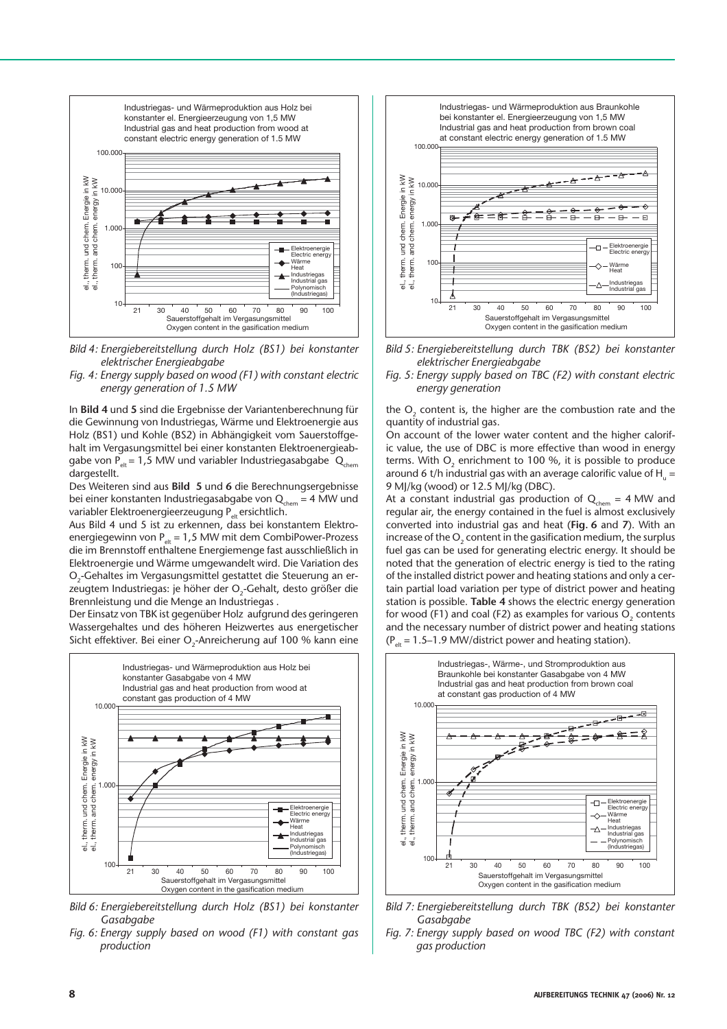



*Fig. 4: Energy supply based on wood (F1) with constant electric energy generation of 1.5 MW*

In **Bild 4** und **5** sind die Ergebnisse der Variantenberechnung für die Gewinnung von Industriegas, Wärme und Elektroenergie aus Holz (BS1) und Kohle (BS2) in Abhängigkeit vom Sauerstoffgehalt im Vergasungsmittel bei einer konstanten Elektroenergieabgabe von P<sub>elt</sub> = 1,5 MW und variabler Industriegasabgabe  $Q_{chem}$ dargestellt.

Des Weiteren sind aus **Bild 5** und **6** die Berechnungsergebnisse bei einer konstanten Industriegasabgabe von  $Q_{chem} = 4$  MW und variabler Elektroenergieerzeugung P<sub>elt</sub> ersichtlich.

Aus Bild 4 und 5 ist zu erkennen, dass bei konstantem Elektroenergiegewinn von  $P_{\text{alt}} = 1.5$  MW mit dem CombiPower-Prozess die im Brennstoff enthaltene Energiemenge fast ausschließlich in Elektroenergie und Wärme umgewandelt wird. Die Variation des O<sub>2</sub>-Gehaltes im Vergasungsmittel gestattet die Steuerung an erzeugtem Industriegas: je höher der O $_2$ -Gehalt, desto größer die Brennleistung und die Menge an Industriegas .

Der Einsatz von TBK ist gegenüber Holz aufgrund des geringeren Wassergehaltes und des höheren Heizwertes aus energetischer Sicht effektiver. Bei einer O<sub>2</sub>-Anreicherung auf 100 % kann eine



- *Bild 6: Energiebereitstellung durch Holz (BS1) bei konstanter Gasabgabe*
- *Fig. 6: Energy supply based on wood (F1) with constant gas production*



*Bild 5: Energiebereitstellung durch TBK (BS2) bei konstanter elektrischer Energieabgabe*

*Fig. 5: Energy supply based on TBC (F2) with constant electric energy generation*

the  $O_2$  content is, the higher are the combustion rate and the quantity of industrial gas.

On account of the lower water content and the higher calorific value, the use of DBC is more effective than wood in energy terms. With  $\mathrm{O}_\mathrm{2}$  enrichment to 100 %, it is possible to produce around 6 t/h industrial gas with an average calorific value of  ${\sf H}_{_{\rm u}}$  = 9 MJ/kg (wood) or 12.5 MJ/kg (DBC).

At a constant industrial gas production of  $Q_{chem} = 4$  MW and regular air, the energy contained in the fuel is almost exclusively converted into industrial gas and heat (**Fig. 6** and **7**). With an increase of the  $\mathrm{O}_2$  content in the gasification medium, the surplus fuel gas can be used for generating electric energy. It should be noted that the generation of electric energy is tied to the rating of the installed district power and heating stations and only a certain partial load variation per type of district power and heating station is possible. **Table 4** shows the electric energy generation for wood (F1) and coal (F2) as examples for various  ${\mathsf O}_2$  contents and the necessary number of district power and heating stations  $(P_{\text{elt}} = 1.5-1.9 \text{ MW/distric}$  power and heating station).



- *Bild 7: Energiebereitstellung durch TBK (BS2) bei konstanter Gasabgabe*
- *Fig. 7: Energy supply based on wood TBC (F2) with constant gas production*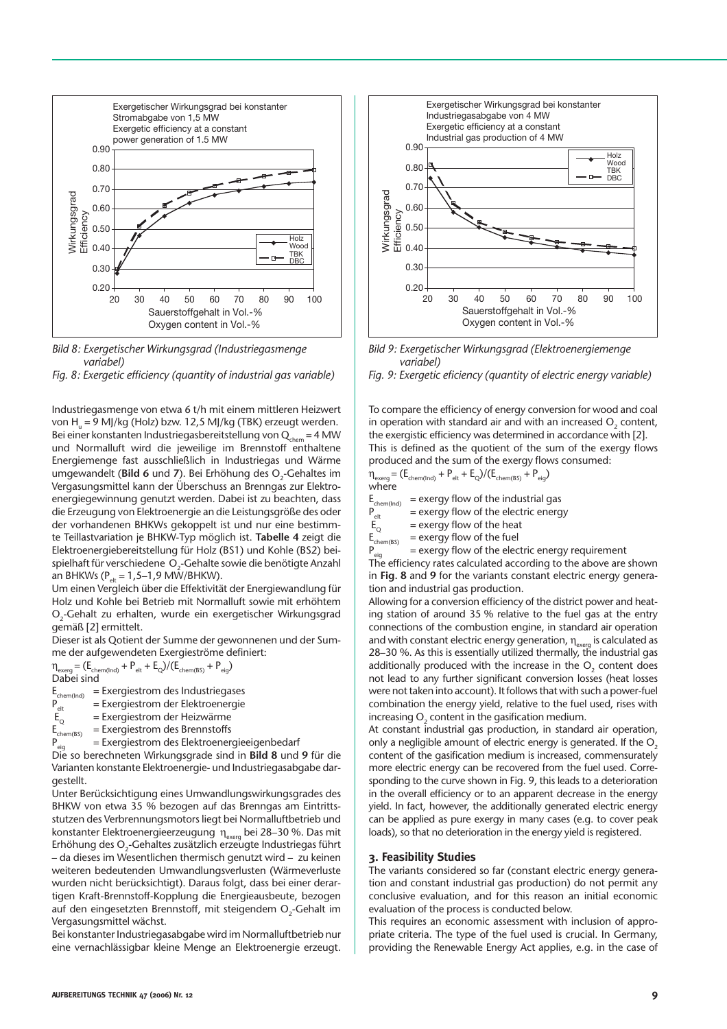



*Fig. 8: Exergetic efficiency (quantity of industrial gas variable)* 

Industriegasmenge von etwa 6 t/h mit einem mittleren Heizwert von H<sub>u</sub> = 9 MJ/kg (Holz) bzw. 12,5 MJ/kg (TBK) erzeugt werden. Bei einer konstanten Industriegasbereitstellung von  $Q_{chem} = 4$  MW und Normalluft wird die jeweilige im Brennstoff enthaltene Energiemenge fast ausschließlich in Industriegas und Wärme umgewandelt (**Bild 6** und 7). Bei Erhöhung des O<sub>2</sub>-Gehaltes im Vergasungsmittel kann der Überschuss an Brenngas zur Elektroenergiegewinnung genutzt werden. Dabei ist zu beachten, dass die Erzeugung von Elektroenergie an die Leistungsgröße des oder der vorhandenen BHKWs gekoppelt ist und nur eine bestimmte Teillastvariation je BHKW-Typ möglich ist. **Tabelle 4** zeigt die Elektroenergiebereitstellung für Holz (BS1) und Kohle (BS2) beispielhaft für verschiedene $\rm~O_{2}$ -Gehalte sowie die benötigte Anzahl an BHKWs ( $P_{\text{elt}} = 1,5-1,9 \text{ MW/BHKW}$ ).

Um einen Vergleich über die Effektivität der Energiewandlung für Holz und Kohle bei Betrieb mit Normalluft sowie mit erhöhtem O<sub>2</sub>-Gehalt zu erhalten, wurde ein exergetischer Wirkungsgrad gemäß [2] ermittelt.

Dieser ist als Qotient der Summe der gewonnenen und der Summe der aufgewendeten Exergieströme definiert:

 $\eta_{\text{exerg}} = (E_{\text{chem(Ind)}} + P_{\text{elt}} + E_{\text{Q}}) / (E_{\text{chem(BS)}} + P_{\text{eiq}})$ Dabei sind

 $\begin{array}{ll} \mathsf{E}_{\mathsf{chem}(\mathsf{Ind})} & = \mathsf{Exergiestrom}\;\mathsf{des}\;\mathsf{Industriegases} \\ \mathsf{P}_{\mathsf{elt}} & = \mathsf{Exergiestrom}\;\mathsf{der}\;\mathsf{Elektroenergie} \\ \mathsf{E}_{\mathsf{Q}} & = \mathsf{Exergiestrom}\;\mathsf{der}\;\mathsf{Heizwärme} \end{array}$ 

- $=$  Exergiestrom der Elektroenergie
- 
- $\vec{E_Q}$  = Exergiestrom der Heizwärme<br>  $E_{\text{chem(BS)}}$  = Exergiestrom des Brennstoffs  $E_{chem(BS)}$  = Exergiestrom des Brennstoffs<br>  $P = Exergi$ estrom des Elektroener

= Exergiestrom des Elektroenergieeigenbedarf Die so berechneten Wirkungsgrade sind in **Bild 8** und **9** für die Varianten konstante Elektroenergie- und Industriegasabgabe dargestellt.

Unter Berücksichtigung eines Umwandlungswirkungsgrades des BHKW von etwa 35 % bezogen auf das Brenngas am Eintrittsstutzen des Verbrennungsmotors liegt bei Normalluftbetrieb und konstanter Elektroenergieerzeugung  $\eta_{\text{exera}}$  bei 28–30 %. Das mit Erhöhung des O $_{\textrm{\tiny{2}}}$ -Gehaltes zusätzlich erzeugte Industriegas führt – da dieses im Wesentlichen thermisch genutzt wird – zu keinen weiteren bedeutenden Umwandlungsverlusten (Wärmeverluste wurden nicht berücksichtigt). Daraus folgt, dass bei einer derartigen Kraft-Brennstoff-Kopplung die Energieausbeute, bezogen auf den eingesetzten Brennstoff, mit steigendem O $_{\textrm{\tiny{2}}}$ -Gehalt im Vergasungsmittel wächst.

Bei konstanter Industriegasabgabe wird im Normalluftbetrieb nur eine vernachlässigbar kleine Menge an Elektroenergie erzeugt.



*Bild 9: Exergetischer Wirkungsgrad (Elektroenergiemenge variabel)*

Fig. 9: Exergetic eficiency (quantity of electric energy variable)

To compare the efficiency of energy conversion for wood and coal in operation with standard air and with an increased  $O_2$  content, the exergistic efficiency was determined in accordance with [2]. This is defined as the quotient of the sum of the exergy flows produced and the sum of the exergy flows consumed:

$$
\eta_{\text{exerg}} = (E_{\text{chem(Ind)}} + P_{\text{elt}} + E_Q) / (E_{\text{chem(BS)}} + P_{\text{eig}})
$$
  
where

 $E_{\text{chem(Ind)}}$  = exergy flow of the industrial gas<br> $P_{\text{in}}$  = exergy flow of the electric energ  $P_{\text{elt}} =$  exergy flow of the electric energy<br>  $E_{\sim}$  = exergy flow of the heat

 $E_Q$  = exergy flow of the heat<br> $E_{chem(BS)}$  = exergy flow of the fuel

 $E_{\text{chem(BS)}}$  = exergy flow of the fuel<br> $P_{\text{min}}$  = exergy flow of the elec

 $=$  exergy flow of the electric energy requirement

The efficiency rates calculated according to the above are shown in **Fig. 8** and **9** for the variants constant electric energy generation and industrial gas production.

Allowing for a conversion efficiency of the district power and heating station of around 35 % relative to the fuel gas at the entry connections of the combustion engine, in standard air operation and with constant electric energy generation,  $\eta_{\text{exera}}$  is calculated as 28–30 %. As this is essentially utilized thermally, the industrial gas additionally produced with the increase in the  $O_2$  content does not lead to any further significant conversion losses (heat losses were not taken into account). It follows that with such a power-fuel combination the energy yield, relative to the fuel used, rises with increasing  ${\mathsf O}_{_{\!2}}$  content in the gasification medium.

At constant industrial gas production, in standard air operation, only a negligible amount of electric energy is generated. If the  $O<sub>2</sub>$ content of the gasification medium is increased, commensurately more electric energy can be recovered from the fuel used. Corresponding to the curve shown in Fig. 9, this leads to a deterioration in the overall efficiency or to an apparent decrease in the energy yield. In fact, however, the additionally generated electric energy can be applied as pure exergy in many cases (e.g. to cover peak loads), so that no deterioration in the energy yield is registered.

## **3. Feasibility Studies**

The variants considered so far (constant electric energy generation and constant industrial gas production) do not permit any conclusive evaluation, and for this reason an initial economic evaluation of the process is conducted below.

This requires an economic assessment with inclusion of appropriate criteria. The type of the fuel used is crucial. In Germany, providing the Renewable Energy Act applies, e.g. in the case of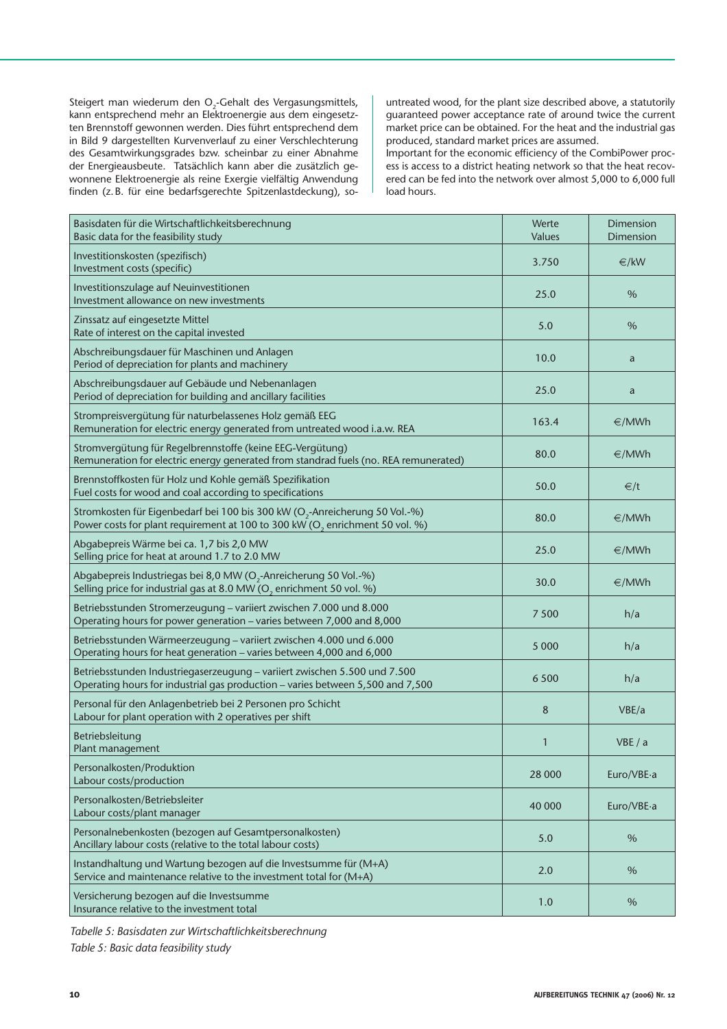Steigert man wiederum den O<sub>2</sub>-Gehalt des Vergasungsmittels, kann entsprechend mehr an Elektroenergie aus dem eingesetzten Brennstoff gewonnen wer den. Dies führt entsprechend dem in Bild 9 dargestellten Kurvenverlauf zu einer Verschlechterung des Gesamtwirkungsgrades bzw. scheinbar zu einer Abnahme der Energieausbeute. Tatsächlich kann aber die zusätzlich gewonnene Elektroenergie als reine Exergie vielfältig Anwendung finden (z. B. für eine bedarfsgerechte Spitzenlastdeckung), so-

untreated wood, for the plant size described above, a statutorily guaranteed power acceptance rate of around twice the current market price can be obtained. For the heat and the industrial gas produced, standard market prices are assumed.

Important for the economic efficiency of the CombiPower process is access to a district heating network so that the heat recovered can be fed into the network over almost 5,000 to 6,000 full load hours.

| Basisdaten für die Wirtschaftlichkeitsberechnung<br>Basic data for the feasibility study                                                                                            | Werte<br>Values | <b>Dimension</b><br><b>Dimension</b> |
|-------------------------------------------------------------------------------------------------------------------------------------------------------------------------------------|-----------------|--------------------------------------|
| Investitionskosten (spezifisch)<br>Investment costs (specific)                                                                                                                      | 3.750           | ∈/kW                                 |
| Investitionszulage auf Neuinvestitionen<br>Investment allowance on new investments                                                                                                  | 25.0            | $\%$                                 |
| Zinssatz auf eingesetzte Mittel<br>Rate of interest on the capital invested                                                                                                         | 5.0             | $\%$                                 |
| Abschreibungsdauer für Maschinen und Anlagen<br>Period of depreciation for plants and machinery                                                                                     | 10.0            | a                                    |
| Abschreibungsdauer auf Gebäude und Nebenanlagen<br>Period of depreciation for building and ancillary facilities                                                                     | 25.0            | a                                    |
| Strompreisvergütung für naturbelassenes Holz gemäß EEG<br>Remuneration for electric energy generated from untreated wood i.a.w. REA                                                 | 163.4           | ∈/MWh                                |
| Stromvergütung für Regelbrennstoffe (keine EEG-Vergütung)<br>Remuneration for electric energy generated from standrad fuels (no. REA remunerated)                                   | 80.0            | ∈/MWh                                |
| Brennstoffkosten für Holz und Kohle gemäß Spezifikation<br>Fuel costs for wood and coal according to specifications                                                                 | 50.0            | ∈/t                                  |
| Stromkosten für Eigenbedarf bei 100 bis 300 kW (O <sub>2</sub> -Anreicherung 50 Vol.-%)<br>Power costs for plant requirement at 100 to 300 kW (O <sub>2</sub> enrichment 50 vol. %) | 80.0            | ∈/MWh                                |
| Abgabepreis Wärme bei ca. 1,7 bis 2,0 MW<br>Selling price for heat at around 1.7 to 2.0 MW                                                                                          | 25.0            | ∈/MWh                                |
| Abgabepreis Industriegas bei 8,0 MW (O <sub>2</sub> -Anreicherung 50 Vol.-%)<br>Selling price for industrial gas at 8.0 MW (O <sub>2</sub> enrichment 50 vol. %)                    | 30.0            | ∈/MWh                                |
| Betriebsstunden Stromerzeugung - variiert zwischen 7.000 und 8.000<br>Operating hours for power generation - varies between 7,000 and 8,000                                         | 7 500           | h/a                                  |
| Betriebsstunden Wärmeerzeugung – variiert zwischen 4.000 und 6.000<br>Operating hours for heat generation - varies between 4,000 and 6,000                                          | 5 0 0 0         | h/a                                  |
| Betriebsstunden Industriegaserzeugung – variiert zwischen 5.500 und 7.500<br>Operating hours for industrial gas production - varies between 5,500 and 7,500                         | 6 5 0 0         | h/a                                  |
| Personal für den Anlagenbetrieb bei 2 Personen pro Schicht<br>Labour for plant operation with 2 operatives per shift                                                                | 8               | VBE/a                                |
| Betriebsleitung<br>Plant management                                                                                                                                                 | 1               | VBE / a                              |
| Personalkosten/Produktion<br>Labour costs/production                                                                                                                                | 28 000          | Euro/VBE-a                           |
| Personalkosten/Betriebsleiter<br>Labour costs/plant manager                                                                                                                         | 40 000          | Euro/VBE-a                           |
| Personalnebenkosten (bezogen auf Gesamtpersonalkosten)<br>Ancillary labour costs (relative to the total labour costs)                                                               | 5.0             | %                                    |
| Instandhaltung und Wartung bezogen auf die Investsumme für (M+A)<br>Service and maintenance relative to the investment total for (M+A)                                              | 2.0             | %                                    |
| Versicherung bezogen auf die Investsumme<br>Insurance relative to the investment total                                                                                              | 1.0             | %                                    |

*Tabelle 5: Basisdaten zur Wirtschaftlichkeitsberechnung*

*Table 5: Basic data feasibility study*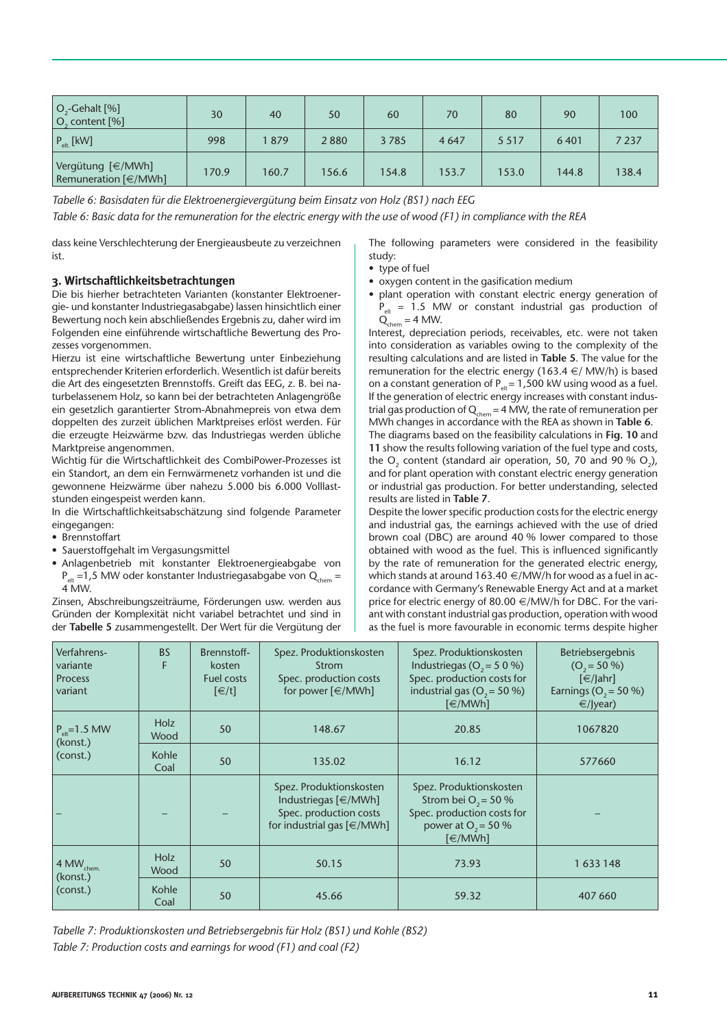| $\vert$ O <sub>2</sub> -Gehalt [%]<br>$\vert$ O <sub>2</sub> content $\vert\% \vert$ | 30    | 40    | 50    | 60    | 70      | 80      | 90    | 100     |
|--------------------------------------------------------------------------------------|-------|-------|-------|-------|---------|---------|-------|---------|
| $P_{\text{elt}}$ [kW]                                                                | 998   | 879   | 2880  | 3785  | 4 6 4 7 | 5 5 1 7 | 6401  | 7 2 3 7 |
| Vergütung [€/MWh]<br>Remuneration [€/MWh]                                            | 170.9 | 160.7 | 156.6 | 154.8 | 153.7   | 153.0   | 144.8 | 138.4   |

*Tabelle 6: Basisdaten für die Elektroenergievergütung beim Einsatz von Holz (BS1) nach EEG Table 6: Basic data for the remuneration for the electric energy with the use of wood (F1) in compliance with the REA*

dass keine Verschlechterung der Energieausbeute zu verzeichnen ist.

## **3. Wirtschaftlichkeitsbetrachtungen**

Die bis hierher betrachteten Varianten (konstanter Elektroenergie- und konstanter Industriegasabgabe) lassen hinsichtlich einer Bewertung noch kein abschließendes Ergebnis zu, daher wird im Folgenden eine einführende wirtschaftliche Bewertung des Prozesses vorgenommen.

Hierzu ist eine wirtschaftliche Bewertung unter Einbeziehung entsprechender Kriterien erforderlich. Wesentlich ist dafür bereits die Art des eingesetzten Brennstoffs. Greift das EEG, z. B. bei naturbelassenem Holz, so kann bei der betrachteten Anlagengröße ein gesetzlich garantierter Strom-Abnahmepreis von etwa dem doppelten des zurzeit üblichen Marktpreises erlöst werden. Für die erzeugte Heizwärme bzw. das Industriegas werden übliche Marktpreise angenommen.

Wichtig für die Wirtschaftlichkeit des CombiPower-Prozesses ist ein Standort, an dem ein Fernwärmenetz vorhanden ist und die gewonnene Heizwärme über nahezu 5.000 bis 6.000 Volllaststunden eingespeist werden kann.

In die Wirtschaftlichkeitsabschätzung sind folgende Parameter eingegangen:

- Brennstoffart
- Sauerstoffgehalt im Vergasungsmittel
- Anlagenbetrieb mit konstanter Elektroenergieabgabe von  $P_{\text{e}t}$  =1,5 MW oder konstanter Industriegasabgabe von Q<sub>chem</sub> = 4 MW.

Zinsen, Abschreibungszeiträume, Förderungen usw. werden aus Gründen der Komplexität nicht variabel betrachtet und sind in der **Tabelle 5** zusammengestellt. Der Wert für die Vergütung der The following parameters were considered in the feasibility study:

- type of fuel
- oxygen content in the gasification medium
- plant operation with constant electric energy generation of  $P_{\text{elt}}$  = 1.5 MW or constant industrial gas production of  $Q_{chem} = 4$  MW.

Interest, depreciation periods, receivables, etc. were not taken into consideration as variables owing to the complexity of the resulting calculations and are listed in **Table 5**. The value for the remuneration for the electric energy (163.4  $\in$ / MW/h) is based on a constant generation of  $P_{\text{elt}} = 1,500$  kW using wood as a fuel. If the generation of electric energy increases with constant industrial gas production of  $Q_{chem} = 4$  MW, the rate of remuneration per MWh changes in accordance with the REA as shown in **Table 6**. The diagrams based on the feasibility calculations in **Fig. 10** and **11** show the results following variation of the fuel type and costs, the  $O_2$  content (standard air operation, 50, 70 and 90 %  $O_2$ ), and for plant operation with constant electric energy generation or industrial gas production. For better understanding, selected results are listed in **Table 7**.

Despite the lower specific production costs for the electric energy and industrial gas, the earnings achieved with the use of dried brown coal (DBC) are around 40 % lower compared to those obtained with wood as the fuel. This is influenced significantly by the rate of remuneration for the generated electric energy, which stands at around 163.40  $\in$ /MW/h for wood as a fuel in accordance with Germany's Renewable Energy Act and at a market price for electric energy of 80.00  $\in$ /MW/h for DBC. For the variant with constant industrial gas production, operation with wood as the fuel is more favourable in economic terms despite higher

| Verfahrens-<br>variante<br><b>Process</b><br>variant | <b>BS</b><br>F      | Brennstoff-<br>kosten<br><b>Fuel costs</b><br>$\left[\in/t\right]$ | Spez. Produktionskosten<br><b>Strom</b><br>Spec. production costs<br>for power $\lceil \in /MWh \rceil$                                                                                                                                                                   | Spez. Produktionskosten<br>Industriegas ( $O_2$ = 5 0 %)<br>Spec. production costs for<br>industrial gas ( $O_2$ = 50 %)<br>$\lceil \in /MWh \rceil$ | <b>Betriebsergebnis</b><br>$(O2=50%)$<br>$[\in]$ /Jahr]<br>Earnings ( $O_2$ = 50 %)<br>$€$ /Jyear) |
|------------------------------------------------------|---------------------|--------------------------------------------------------------------|---------------------------------------------------------------------------------------------------------------------------------------------------------------------------------------------------------------------------------------------------------------------------|------------------------------------------------------------------------------------------------------------------------------------------------------|----------------------------------------------------------------------------------------------------|
| $P_{\text{alt}} = 1.5$ MW<br>(konst.)                | <b>Holz</b><br>Wood | 50                                                                 | 148.67                                                                                                                                                                                                                                                                    | 20.85                                                                                                                                                | 1067820                                                                                            |
| (const.)                                             | Kohle<br>Coal       | 50                                                                 | 135.02<br>16.12                                                                                                                                                                                                                                                           |                                                                                                                                                      | 577660                                                                                             |
|                                                      |                     |                                                                    | Spez. Produktionskosten<br>Spez. Produktionskosten<br>Strom bei O <sub>2</sub> = 50 %<br>Industriegas $\lceil \in /MWh \rceil$<br>Spec. production costs<br>Spec. production costs for<br>for industrial gas $\lceil \in /MWh \rceil$<br>power at $O_2$ = 50 %<br>[€/MWh] |                                                                                                                                                      |                                                                                                    |
| 4 MW <sub>chem.</sub><br>(konst.)                    | <b>Holz</b><br>Wood | 50                                                                 | 50.15                                                                                                                                                                                                                                                                     | 73.93                                                                                                                                                | 1633148                                                                                            |
| (const.)                                             | Kohle<br>Coal       | 50                                                                 | 45.66                                                                                                                                                                                                                                                                     | 59.32                                                                                                                                                | 407 660                                                                                            |

*Tabelle 7: Produktionskosten und Betriebsergebnis für Holz (BS1) und Kohle (BS2) Table 7: Production costs and earnings for wood (F1) and coal (F2)*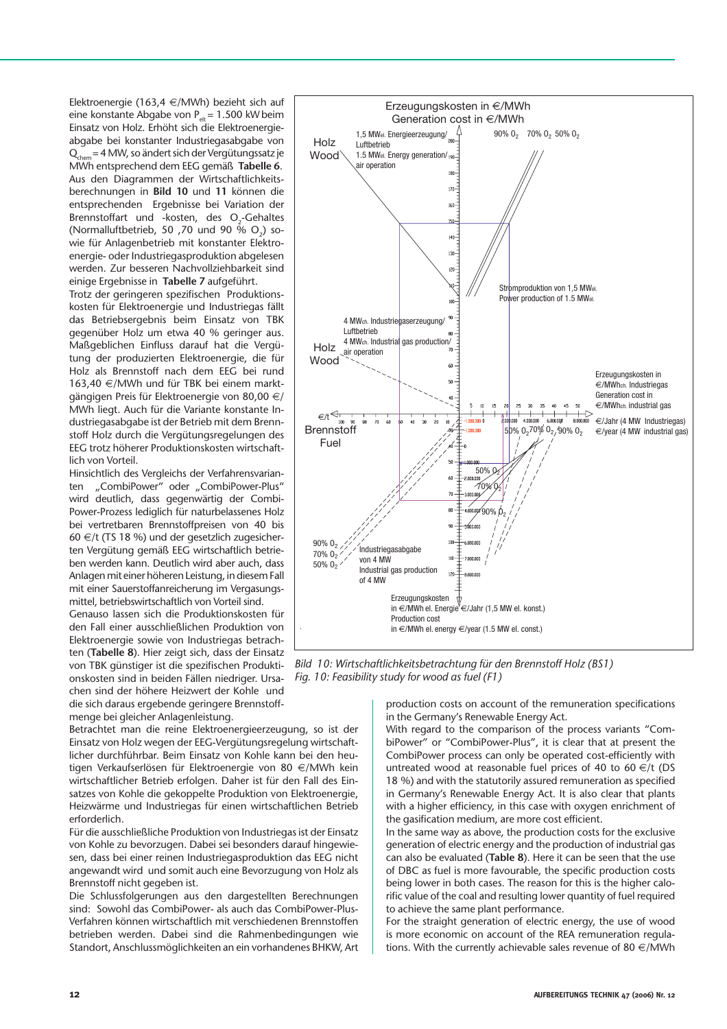Elektroenergie (163,4  $\in$ /MWh) bezieht sich auf eine konstante Abgabe von  $P_{e^+} = 1.500$  kW beim Einsatz von Holz. Erhöht sich die Elektroenergieabgabe bei konstanter Industriegasabgabe von  $Q<sub>chem</sub> = 4 MW$ , so ändert sich der Vergütungssatz je MWh entsprechend dem EEG gemäß **Tabelle 6**. Aus den Diagrammen der Wirtschaftlichkeitsberechnungen in **Bild 10** und **11** können die entsprechenden Ergebnisse bei Variation der Brennstoffart und -kosten, des  $O_2$ -Gehaltes (Normalluftbetrieb, 50 ,70 und 90 %  $O_2$ ) sowie für Anlagenbetrieb mit konstanter Elektroenergie- oder Industriegasproduktion abgelesen werden. Zur besseren Nachvollziehbarkeit sind einige Ergebnisse in **Tabelle 7** aufgeführt.

Trotz der geringeren spezifischen Produktionskosten für Elektroenergie und Industriegas fällt das Betriebsergebnis beim Einsatz von TBK gegenüber Holz um etwa 40 % geringer aus. Maßgeblichen Einfluss darauf hat die Vergütung der produzierten Elektroenergie, die für Holz als Brennstoff nach dem EEG bei rund 163,40 €/MWh und für TBK bei einem marktgängigen Preis für Elektroenergie von 80,00  $\in$ / MWh liegt. Auch für die Variante konstante Industriegasabgabe ist der Betrieb mit dem Brennstoff Holz durch die Vergütungsregelungen des EEG trotz höherer Produktionskosten wirtschaftlich von Vorteil.

Hinsichtlich des Vergleichs der Verfahrensvarianten "CombiPower" oder "CombiPower-Plus" wird deutlich, dass gegenwärtig der Combi-Power-Prozess lediglich für naturbelassenes Holz bei vertretbaren Brennstoffpreisen von 40 bis 60  $\in$ /t (TS 18 %) und der gesetzlich zugesicherten Vergütung gemäß EEG wirtschaftlich betrieben werden kann. Deutlich wird aber auch, dass Anlagen mit einer höheren Leistung, in diesem Fall mit einer Sauerstoffanreicherung im Vergasungsmittel, betriebswirtschaftlich von Vorteil sind.

Genauso lassen sich die Produktionskosten für den Fall einer ausschließlichen Produktion von Elektroenergie sowie von Industriegas betrachten (**Tabelle 8**). Hier zeigt sich, dass der Einsatz von TBK günstiger ist die spezifischen Produktionskosten sind in beiden Fällen niedriger. Ursachen sind der höhere Heizwert der Kohle und die sich daraus ergebende geringere Brennstoffmenge bei gleicher Anlagenleistung.

Betrachtet man die reine Elektroenergieerzeugung, so ist der Einsatz von Holz wegen der EEG-Vergütungsregelung wirtschaftlicher durchführbar. Beim Einsatz von Kohle kann bei den heutigen Verkaufserlösen für Elektroenergie von 80  $\in$ /MWh kein wirtschaftlicher Betrieb erfolgen. Daher ist für den Fall des Einsatzes von Kohle die gekoppelte Produktion von Elektroenergie, Heizwärme und Industriegas für einen wirtschaftlichen Betrieb erforderlich.

Für die ausschließliche Produktion von Industriegas ist der Einsatz von Kohle zu bevorzugen. Dabei sei besonders darauf hingewiesen, dass bei einer reinen Industriegasproduktion das EEG nicht angewandt wird und somit auch eine Bevorzugung von Holz als Brennstoff nicht gegeben ist.

Die Schlussfolgerungen aus den dargestellten Berechnungen sind: Sowohl das CombiPower- als auch das CombiPower-Plus-Verfahren können wirtschaftlich mit verschiedenen Brennstoffen betrieben werden. Dabei sind die Rahmenbedingungen wie Standort, Anschlussmöglichkeiten an ein vorhandenes BHKW, Art



*Bild 10: Wirtschaftlichkeitsbetrachtung für den Brennstoff Holz (BS1) Fig. 10: Feasibility study for wood as fuel (F1)*

production costs on account of the remuneration specifications in the Germany's Renewable Energy Act.

With regard to the comparison of the process variants "CombiPower" or "CombiPower-Plus", it is clear that at present the CombiPower process can only be operated cost-efficiently with untreated wood at reasonable fuel prices of 40 to 60  $\in$ /t (DS 18 %) and with the statutorily assured remuneration as specified in Germany's Renewable Energy Act. It is also clear that plants with a higher efficiency, in this case with oxygen enrichment of the gasification medium, are more cost efficient.

In the same way as above, the production costs for the exclusive generation of electric energy and the production of industrial gas can also be evaluated (**Table 8**). Here it can be seen that the use of DBC as fuel is more favourable, the specific production costs being lower in both cases. The reason for this is the higher calorific value of the coal and resulting lower quantity of fuel required to achieve the same plant performance.

For the straight generation of electric energy, the use of wood is more economic on account of the REA remuneration regulations. With the currently achievable sales revenue of 80  $\in$ /MWh